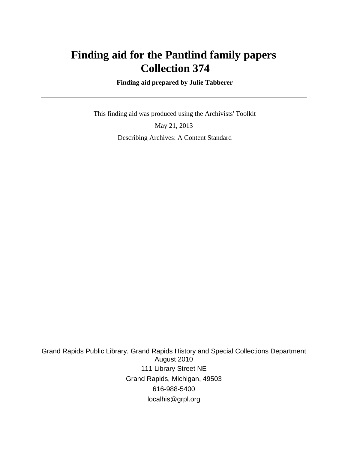# **Finding aid for the Pantlind family papers Collection 374**

 **Finding aid prepared by Julie Tabberer**

 This finding aid was produced using the Archivists' Toolkit May 21, 2013 Describing Archives: A Content Standard

Grand Rapids Public Library, Grand Rapids History and Special Collections Department August 2010 111 Library Street NE Grand Rapids, Michigan, 49503 616-988-5400 localhis@grpl.org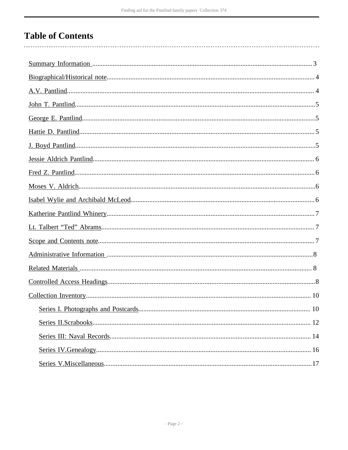# **Table of Contents**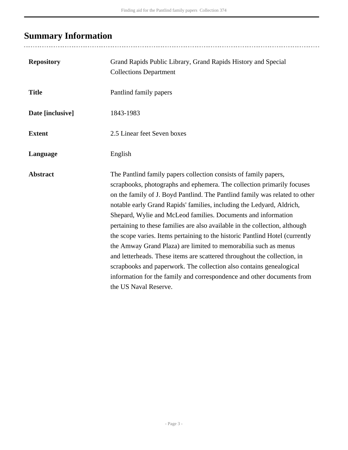# <span id="page-2-0"></span>**Summary Information**

| <b>Repository</b> | Grand Rapids Public Library, Grand Rapids History and Special<br><b>Collections Department</b>                                                                                                                                                                                                                                                                                                                                                                                                                                                                                                                                                                                                                                                                                                                                                              |
|-------------------|-------------------------------------------------------------------------------------------------------------------------------------------------------------------------------------------------------------------------------------------------------------------------------------------------------------------------------------------------------------------------------------------------------------------------------------------------------------------------------------------------------------------------------------------------------------------------------------------------------------------------------------------------------------------------------------------------------------------------------------------------------------------------------------------------------------------------------------------------------------|
| <b>Title</b>      | Pantlind family papers                                                                                                                                                                                                                                                                                                                                                                                                                                                                                                                                                                                                                                                                                                                                                                                                                                      |
| Date [inclusive]  | 1843-1983                                                                                                                                                                                                                                                                                                                                                                                                                                                                                                                                                                                                                                                                                                                                                                                                                                                   |
| <b>Extent</b>     | 2.5 Linear feet Seven boxes                                                                                                                                                                                                                                                                                                                                                                                                                                                                                                                                                                                                                                                                                                                                                                                                                                 |
| Language          | English                                                                                                                                                                                                                                                                                                                                                                                                                                                                                                                                                                                                                                                                                                                                                                                                                                                     |
| <b>Abstract</b>   | The Pantlind family papers collection consists of family papers,<br>scrapbooks, photographs and ephemera. The collection primarily focuses<br>on the family of J. Boyd Pantlind. The Pantlind family was related to other<br>notable early Grand Rapids' families, including the Ledyard, Aldrich,<br>Shepard, Wylie and McLeod families. Documents and information<br>pertaining to these families are also available in the collection, although<br>the scope varies. Items pertaining to the historic Pantlind Hotel (currently<br>the Amway Grand Plaza) are limited to memorabilia such as menus<br>and letterheads. These items are scattered throughout the collection, in<br>scrapbooks and paperwork. The collection also contains genealogical<br>information for the family and correspondence and other documents from<br>the US Naval Reserve. |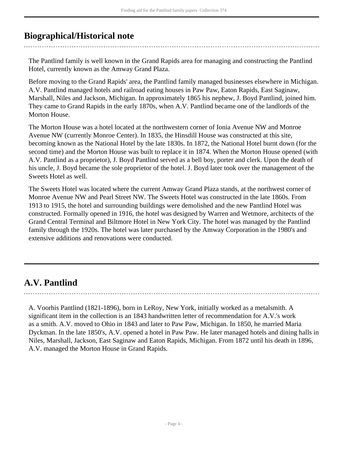# <span id="page-3-0"></span>**Biographical/Historical note**

The Pantlind family is well known in the Grand Rapids area for managing and constructing the Pantlind Hotel, currently known as the Amway Grand Plaza.

Before moving to the Grand Rapids' area, the Pantlind family managed businesses elsewhere in Michigan. A.V. Pantlind managed hotels and railroad eating houses in Paw Paw, Eaton Rapids, East Saginaw, Marshall, Niles and Jackson, Michigan. In approximately 1865 his nephew, J. Boyd Pantlind, joined him. They came to Grand Rapids in the early 1870s, when A.V. Pantlind became one of the landlords of the Morton House.

The Morton House was a hotel located at the northwestern corner of Ionia Avenue NW and Monroe Avenue NW (currently Monroe Center). In 1835, the Hinsdill House was constructed at this site, becoming known as the National Hotel by the late 1830s. In 1872, the National Hotel burnt down (for the second time) and the Morton House was built to replace it in 1874. When the Morton House opened (with A.V. Pantlind as a proprietor), J. Boyd Pantlind served as a bell boy, porter and clerk. Upon the death of his uncle, J. Boyd became the sole proprietor of the hotel. J. Boyd later took over the management of the Sweets Hotel as well.

The Sweets Hotel was located where the current Amway Grand Plaza stands, at the northwest corner of Monroe Avenue NW and Pearl Street NW. The Sweets Hotel was constructed in the late 1860s. From 1913 to 1915, the hotel and surrounding buildings were demolished and the new Pantlind Hotel was constructed. Formally opened in 1916, the hotel was designed by Warren and Wetmore, architects of the Grand Central Terminal and Biltmore Hotel in New York City. The hotel was managed by the Pantlind family through the 1920s. The hotel was later purchased by the Amway Corporation in the 1980's and extensive additions and renovations were conducted.

# <span id="page-3-1"></span>**A.V. Pantlind**

A. Voorhis Pantlind (1821-1896), born in LeRoy, New York, initially worked as a metalsmith. A significant item in the collection is an 1843 handwritten letter of recommendation for A.V.'s work as a smith. A.V. moved to Ohio in 1843 and later to Paw Paw, Michigan. In 1850, he married Maria Dyckman. In the late 1850's, A.V. opened a hotel in Paw Paw. He later managed hotels and dining halls in Niles, Marshall, Jackson, East Saginaw and Eaton Rapids, Michigan. From 1872 until his death in 1896, A.V. managed the Morton House in Grand Rapids.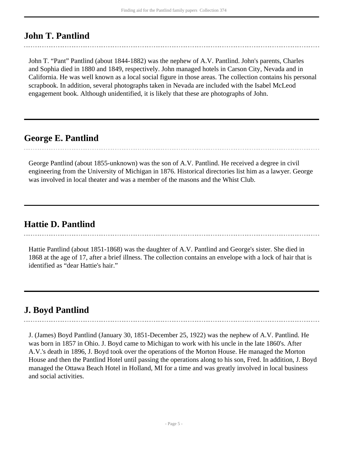# <span id="page-4-0"></span>**John T. Pantlind**

John T. "Pant" Pantlind (about 1844-1882) was the nephew of A.V. Pantlind. John's parents, Charles and Sophia died in 1880 and 1849, respectively. John managed hotels in Carson City, Nevada and in California. He was well known as a local social figure in those areas. The collection contains his personal scrapbook. In addition, several photographs taken in Nevada are included with the Isabel McLeod engagement book. Although unidentified, it is likely that these are photographs of John.

# <span id="page-4-1"></span>**George E. Pantlind**

George Pantlind (about 1855-unknown) was the son of A.V. Pantlind. He received a degree in civil engineering from the University of Michigan in 1876. Historical directories list him as a lawyer. George was involved in local theater and was a member of the masons and the Whist Club.

# <span id="page-4-2"></span>**Hattie D. Pantlind**

Hattie Pantlind (about 1851-1868) was the daughter of A.V. Pantlind and George's sister. She died in 1868 at the age of 17, after a brief illness. The collection contains an envelope with a lock of hair that is identified as "dear Hattie's hair."

# <span id="page-4-3"></span>**J. Boyd Pantlind**

J. (James) Boyd Pantlind (January 30, 1851-December 25, 1922) was the nephew of A.V. Pantlind. He was born in 1857 in Ohio. J. Boyd came to Michigan to work with his uncle in the late 1860's. After A.V.'s death in 1896, J. Boyd took over the operations of the Morton House. He managed the Morton House and then the Pantlind Hotel until passing the operations along to his son, Fred. In addition, J. Boyd managed the Ottawa Beach Hotel in Holland, MI for a time and was greatly involved in local business and social activities.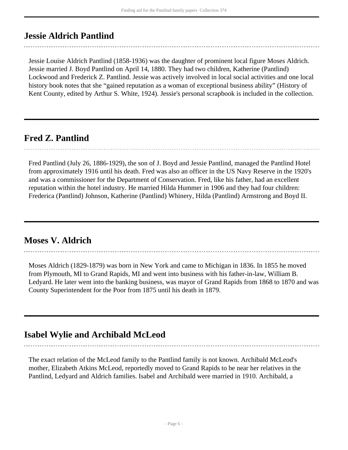## <span id="page-5-0"></span>**Jessie Aldrich Pantlind**

Jessie Louise Aldrich Pantlind (1858-1936) was the daughter of prominent local figure Moses Aldrich. Jessie married J. Boyd Pantlind on April 14, 1880. They had two children, Katherine (Pantlind) Lockwood and Frederick Z. Pantlind. Jessie was actively involved in local social activities and one local history book notes that she "gained reputation as a woman of exceptional business ability" (History of Kent County, edited by Arthur S. White, 1924). Jessie's personal scrapbook is included in the collection.

# <span id="page-5-1"></span>**Fred Z. Pantlind**

Fred Pantlind (July 26, 1886-1929), the son of J. Boyd and Jessie Pantlind, managed the Pantlind Hotel from approximately 1916 until his death. Fred was also an officer in the US Navy Reserve in the 1920's and was a commissioner for the Department of Conservation. Fred, like his father, had an excellent reputation within the hotel industry. He married Hilda Hummer in 1906 and they had four children: Frederica (Pantlind) Johnson, Katherine (Pantlind) Whinery, Hilda (Pantlind) Armstrong and Boyd II.

## <span id="page-5-2"></span>**Moses V. Aldrich**

Moses Aldrich (1829-1879) was born in New York and came to Michigan in 1836. In 1855 he moved from Plymouth, MI to Grand Rapids, MI and went into business with his father-in-law, William B. Ledyard. He later went into the banking business, was mayor of Grand Rapids from 1868 to 1870 and was County Superintendent for the Poor from 1875 until his death in 1879.

# <span id="page-5-3"></span>**Isabel Wylie and Archibald McLeod**

The exact relation of the McLeod family to the Pantlind family is not known. Archibald McLeod's mother, Elizabeth Atkins McLeod, reportedly moved to Grand Rapids to be near her relatives in the Pantlind, Ledyard and Aldrich families. Isabel and Archibald were married in 1910. Archibald, a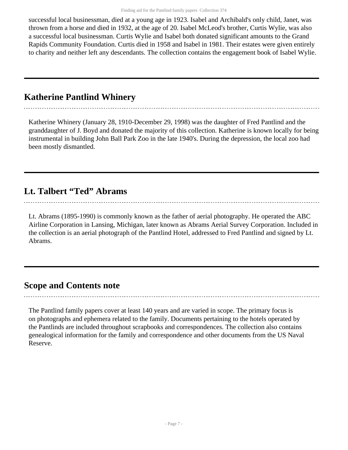successful local businessman, died at a young age in 1923. Isabel and Archibald's only child, Janet, was thrown from a horse and died in 1932, at the age of 20. Isabel McLeod's brother, Curtis Wylie, was also a successful local businessman. Curtis Wylie and Isabel both donated significant amounts to the Grand Rapids Community Foundation. Curtis died in 1958 and Isabel in 1981. Their estates were given entirely to charity and neither left any descendants. The collection contains the engagement book of Isabel Wylie.

# <span id="page-6-0"></span>**Katherine Pantlind Whinery**

Katherine Whinery (January 28, 1910-December 29, 1998) was the daughter of Fred Pantlind and the granddaughter of J. Boyd and donated the majority of this collection. Katherine is known locally for being instrumental in building John Ball Park Zoo in the late 1940's. During the depression, the local zoo had been mostly dismantled.

# <span id="page-6-1"></span>**Lt. Talbert "Ted" Abrams**

Lt. Abrams (1895-1990) is commonly known as the father of aerial photography. He operated the ABC Airline Corporation in Lansing, Michigan, later known as Abrams Aerial Survey Corporation. Included in the collection is an aerial photograph of the Pantlind Hotel, addressed to Fred Pantlind and signed by Lt. Abrams.

### <span id="page-6-2"></span>**Scope and Contents note**

The Pantlind family papers cover at least 140 years and are varied in scope. The primary focus is on photographs and ephemera related to the family. Documents pertaining to the hotels operated by the Pantlinds are included throughout scrapbooks and correspondences. The collection also contains genealogical information for the family and correspondence and other documents from the US Naval Reserve.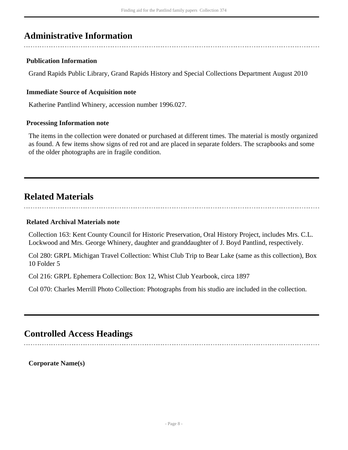# <span id="page-7-0"></span>**Administrative Information**

#### **Publication Information**

Grand Rapids Public Library, Grand Rapids History and Special Collections Department August 2010

#### **Immediate Source of Acquisition note**

Katherine Pantlind Whinery, accession number 1996.027.

#### **Processing Information note**

The items in the collection were donated or purchased at different times. The material is mostly organized as found. A few items show signs of red rot and are placed in separate folders. The scrapbooks and some of the older photographs are in fragile condition.

## <span id="page-7-1"></span>**Related Materials**

#### **Related Archival Materials note**

Collection 163: Kent County Council for Historic Preservation, Oral History Project, includes Mrs. C.L. Lockwood and Mrs. George Whinery, daughter and granddaughter of J. Boyd Pantlind, respectively.

Col 280: GRPL Michigan Travel Collection: Whist Club Trip to Bear Lake (same as this collection), Box 10 Folder 5

Col 216: GRPL Ephemera Collection: Box 12, Whist Club Yearbook, circa 1897

Col 070: Charles Merrill Photo Collection: Photographs from his studio are included in the collection.

# <span id="page-7-2"></span>**Controlled Access Headings**

**Corporate Name(s)**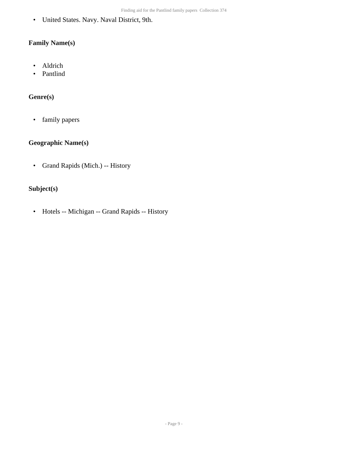• United States. Navy. Naval District, 9th.

#### **Family Name(s)**

- Aldrich
- Pantlind

#### **Genre(s)**

• family papers

#### **Geographic Name(s)**

• Grand Rapids (Mich.) -- History

#### **Subject(s)**

• Hotels -- Michigan -- Grand Rapids -- History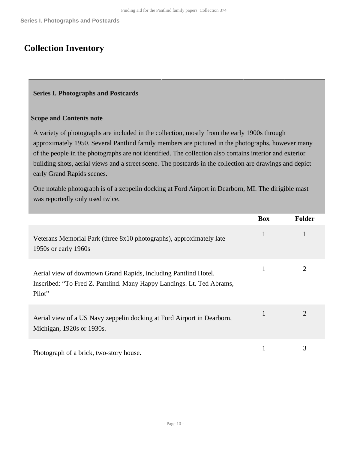# <span id="page-9-0"></span>**Collection Inventory**

#### <span id="page-9-1"></span>**Series I. Photographs and Postcards**

#### **Scope and Contents note**

A variety of photographs are included in the collection, mostly from the early 1900s through approximately 1950. Several Pantlind family members are pictured in the photographs, however many of the people in the photographs are not identified. The collection also contains interior and exterior building shots, aerial views and a street scene. The postcards in the collection are drawings and depict early Grand Rapids scenes.

One notable photograph is of a zeppelin docking at Ford Airport in Dearborn, MI. The dirigible mast was reportedly only used twice.

|                                                                                                                                                    | <b>Box</b> | <b>Folder</b> |
|----------------------------------------------------------------------------------------------------------------------------------------------------|------------|---------------|
| Veterans Memorial Park (three 8x10 photographs), approximately late<br>1950s or early 1960s                                                        |            |               |
| Aerial view of downtown Grand Rapids, including Pantlind Hotel.<br>Inscribed: "To Fred Z. Pantlind. Many Happy Landings. Lt. Ted Abrams,<br>Pilot" |            |               |
| Aerial view of a US Navy zeppelin docking at Ford Airport in Dearborn,<br>Michigan, 1920s or 1930s.                                                |            | 2             |
| Photograph of a brick, two-story house.                                                                                                            |            | 3             |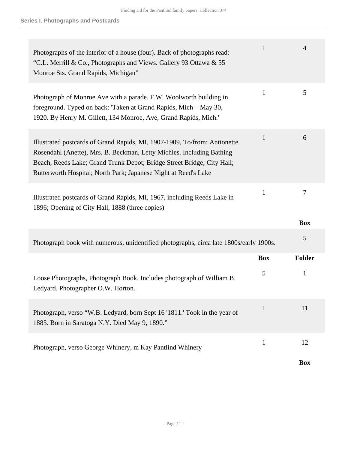| Photographs of the interior of a house (four). Back of photographs read:<br>"C.L. Merrill & Co., Photographs and Views. Gallery 93 Ottawa & 55<br>Monroe Sts. Grand Rapids, Michigan"                                                                                                           | $\mathbf{1}$ | 4               |
|-------------------------------------------------------------------------------------------------------------------------------------------------------------------------------------------------------------------------------------------------------------------------------------------------|--------------|-----------------|
| Photograph of Monroe Ave with a parade. F.W. Woolworth building in<br>foreground. Typed on back: 'Taken at Grand Rapids, Mich – May 30,<br>1920. By Henry M. Gillett, 134 Monroe, Ave, Grand Rapids, Mich.'                                                                                     | $\mathbf{1}$ | 5               |
| Illustrated postcards of Grand Rapids, MI, 1907-1909, To/from: Antionette<br>Rosendahl (Anette), Mrs. B. Beckman, Letty Michles. Including Bathing<br>Beach, Reeds Lake; Grand Trunk Depot; Bridge Street Bridge; City Hall;<br>Butterworth Hospital; North Park; Japanese Night at Reed's Lake | 1            | 6               |
| Illustrated postcards of Grand Rapids, MI, 1967, including Reeds Lake in<br>1896; Opening of City Hall, 1888 (three copies)                                                                                                                                                                     | $\mathbf{1}$ | 7<br><b>Box</b> |
|                                                                                                                                                                                                                                                                                                 |              | 5               |
| Photograph book with numerous, unidentified photographs, circa late 1800s/early 1900s.                                                                                                                                                                                                          |              |                 |
|                                                                                                                                                                                                                                                                                                 | <b>Box</b>   | <b>Folder</b>   |
| Loose Photographs, Photograph Book. Includes photograph of William B.<br>Ledyard. Photographer O.W. Horton.                                                                                                                                                                                     | 5            | 1               |
| Photograph, verso "W.B. Ledyard, born Sept 16 '1811.' Took in the year of<br>1885. Born in Saratoga N.Y. Died May 9, 1890."                                                                                                                                                                     | 1            | 11              |
| Photograph, verso George Whinery, m Kay Pantlind Whinery                                                                                                                                                                                                                                        | $\mathbf{1}$ | 12              |
|                                                                                                                                                                                                                                                                                                 |              | <b>Box</b>      |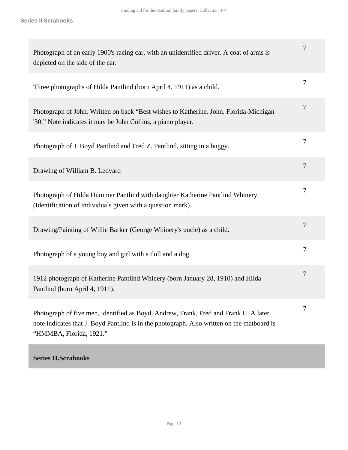| Photograph of an early 1900's racing car, with an unidentified driver. A coat of arms is<br>depicted on the side of the car.                                                                                   | 7              |
|----------------------------------------------------------------------------------------------------------------------------------------------------------------------------------------------------------------|----------------|
| Three photographs of Hilda Pantlind (born April 4, 1911) as a child.                                                                                                                                           | 7              |
| Photograph of John. Written on back "Best wishes to Katherine. John. Florida-Michigan<br>'30." Note indicates it may be John Collins, a piano player.                                                          | 7              |
| Photograph of J. Boyd Pantlind and Fred Z. Pantlind, sitting in a buggy.                                                                                                                                       | 7              |
| Drawing of William B. Ledyard                                                                                                                                                                                  | $\overline{7}$ |
| Photograph of Hilda Hummer Pantlind with daughter Katherine Pantlind Whinery.<br>(Identification of individuals given with a question mark).                                                                   | 7              |
| Drawing/Painting of Willie Barker (George Whinery's uncle) as a child.                                                                                                                                         | $\overline{7}$ |
| Photograph of a young boy and girl with a doll and a dog.                                                                                                                                                      | 7              |
| 1912 photograph of Katherine Pantlind Whinery (born January 28, 1910) and Hilda<br>Pantlind (born April 4, 1911).                                                                                              | 7              |
| Photograph of five men, identified as Boyd, Andrew, Frank, Fred and Frank II. A later<br>note indicates that J. Boyd Pantlind is in the photograph. Also written on the matboard is<br>"HMMBA, Florida, 1921." | $\tau$         |
|                                                                                                                                                                                                                |                |

### <span id="page-11-0"></span>**Series II.Scrabooks**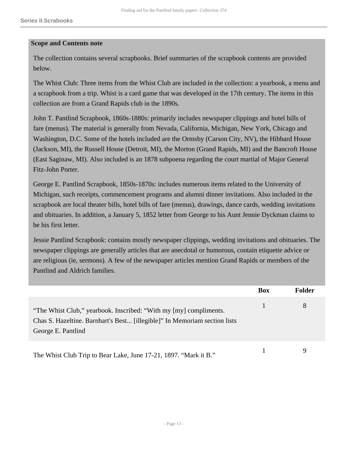#### **Scope and Contents note**

The collection contains several scrapbooks. Brief summaries of the scrapbook contents are provided below.

The Whist Club: Three items from the Whist Club are included in the collection: a yearbook, a menu and a scrapbook from a trip. Whist is a card game that was developed in the 17th century. The items in this collection are from a Grand Rapids club in the 1890s.

John T. Pantlind Scrapbook, 1860s-1880s: primarily includes newspaper clippings and hotel bills of fare (menus). The material is generally from Nevada, California, Michigan, New York, Chicago and Washington, D.C. Some of the hotels included are the Ormsby (Carson City, NV), the Hibbard House (Jackson, MI), the Russell House (Detroit, MI), the Morton (Grand Rapids, MI) and the Bancroft House (East Saginaw, MI). Also included is an 1878 subpoena regarding the court martial of Major General Fitz-John Porter.

George E. Pantlind Scrapbook, 1850s-1870s: includes numerous items related to the University of Michigan, such receipts, commencement programs and alumni dinner invitations. Also included in the scrapbook are local theater bills, hotel bills of fare (menus), drawings, dance cards, wedding invitations and obituaries. In addition, a January 5, 1852 letter from George to his Aunt Jennie Dyckman claims to be his first letter.

Jessie Pantlind Scrapbook: contains mostly newspaper clippings, wedding invitations and obituaries. The newspaper clippings are generally articles that are anecdotal or humorous, contain etiquette advice or are religious (ie, sermons). A few of the newspaper articles mention Grand Rapids or members of the Pantlind and Aldrich families.

|                                                                                                                                                                      | Box | <b>Folder</b> |
|----------------------------------------------------------------------------------------------------------------------------------------------------------------------|-----|---------------|
| "The Whist Club," yearbook. Inscribed: "With my [my] compliments.<br>Chas S. Hazeltine. Barnhart's Best [illegible]" In Memoriam section lists<br>George E. Pantlind |     | 8             |
| The Whist Club Trip to Bear Lake, June 17-21, 1897. "Mark it B."                                                                                                     |     |               |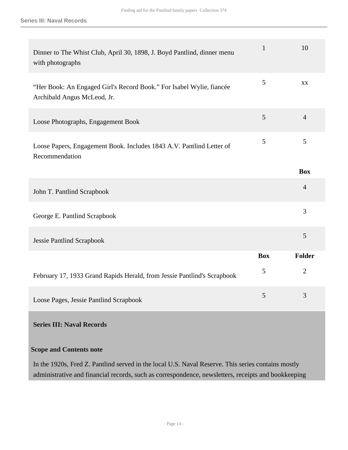| Dinner to The Whist Club, April 30, 1898, J. Boyd Pantlind, dinner menu<br>with photographs         | $\mathbf{1}$ | 10             |
|-----------------------------------------------------------------------------------------------------|--------------|----------------|
| "Her Book: An Engaged Girl's Record Book." For Isabel Wylie, fiancée<br>Archibald Angus McLeod, Jr. | 5            | XX             |
| Loose Photographs, Engagement Book                                                                  | 5            | $\overline{4}$ |
| Loose Papers, Engagement Book. Includes 1843 A.V. Pantlind Letter of<br>Recommendation              | 5            | 5              |
|                                                                                                     |              | <b>Box</b>     |
| John T. Pantlind Scrapbook                                                                          |              | $\overline{4}$ |
| George E. Pantlind Scrapbook                                                                        |              | 3              |
| <b>Jessie Pantlind Scrapbook</b>                                                                    |              | 5              |
|                                                                                                     | <b>Box</b>   | Folder         |
| February 17, 1933 Grand Rapids Herald, from Jessie Pantlind's Scrapbook                             | 5            | $\overline{2}$ |
| Loose Pages, Jessie Pantlind Scrapbook                                                              | 5            | 3              |

#### <span id="page-13-0"></span>**Series III: Naval Records**

#### **Scope and Contents note**

In the 1920s, Fred Z. Pantlind served in the local U.S. Naval Reserve. This series contains mostly administrative and financial records, such as correspondence, newsletters, receipts and bookkeeping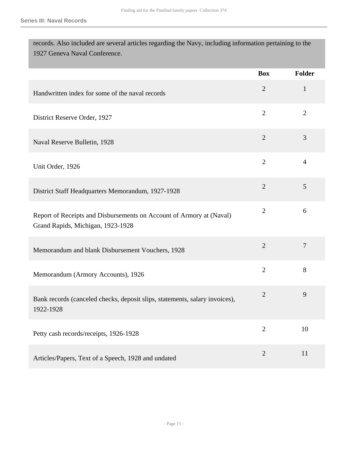records. Also included are several articles regarding the Navy, including information pertaining to the 1927 Geneva Naval Conference.

|                                                                                                           | <b>Box</b>     | Folder         |
|-----------------------------------------------------------------------------------------------------------|----------------|----------------|
| Handwritten index for some of the naval records                                                           | $\overline{2}$ | $\mathbf{1}$   |
| District Reserve Order, 1927                                                                              | $\overline{2}$ | $\overline{2}$ |
| Naval Reserve Bulletin, 1928                                                                              | $\overline{2}$ | 3              |
| Unit Order, 1926                                                                                          | $\overline{2}$ | $\overline{4}$ |
| District Staff Headquarters Memorandum, 1927-1928                                                         | $\overline{2}$ | 5              |
| Report of Receipts and Disbursements on Account of Armory at (Naval)<br>Grand Rapids, Michigan, 1923-1928 | $\overline{2}$ | 6              |
| Memorandum and blank Disbursement Vouchers, 1928                                                          | $\overline{2}$ | $\overline{7}$ |
| Memorandum (Armory Accounts), 1926                                                                        | $\overline{2}$ | 8              |
| Bank records (canceled checks, deposit slips, statements, salary invoices),<br>1922-1928                  | $\overline{2}$ | 9              |
| Petty cash records/receipts, 1926-1928                                                                    | $\overline{2}$ | 10             |
| Articles/Papers, Text of a Speech, 1928 and undated                                                       | $\overline{2}$ | 11             |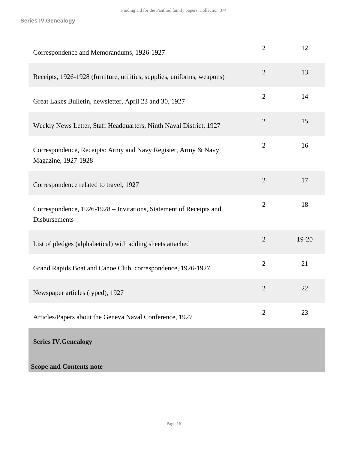<span id="page-15-0"></span>

| Correspondence and Memorandums, 1926-1927                                            | $\overline{2}$ | 12        |
|--------------------------------------------------------------------------------------|----------------|-----------|
| Receipts, 1926-1928 (furniture, utilities, supplies, uniforms, weapons)              | $\overline{2}$ | 13        |
| Great Lakes Bulletin, newsletter, April 23 and 30, 1927                              | $\overline{2}$ | 14        |
| Weekly News Letter, Staff Headquarters, Ninth Naval District, 1927                   | $\overline{2}$ | 15        |
| Correspondence, Receipts: Army and Navy Register, Army & Navy<br>Magazine, 1927-1928 | $\overline{2}$ | 16        |
| Correspondence related to travel, 1927                                               | $\overline{2}$ | 17        |
| Correspondence, 1926-1928 – Invitations, Statement of Receipts and<br>Disbursements  | $\overline{2}$ | 18        |
| List of pledges (alphabetical) with adding sheets attached                           | $\overline{2}$ | $19 - 20$ |
| Grand Rapids Boat and Canoe Club, correspondence, 1926-1927                          | $\overline{2}$ | 21        |
| Newspaper articles (typed), 1927                                                     | $\overline{2}$ | 22        |
| Articles/Papers about the Geneva Naval Conference, 1927                              | $\overline{2}$ | 23        |
| <b>Series IV. Genealogy</b>                                                          |                |           |
| <b>Scope and Contents note</b>                                                       |                |           |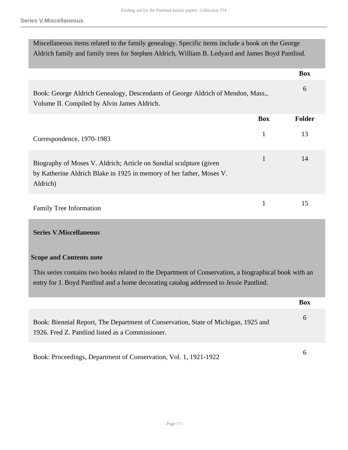Miscellaneous items related to the family genealogy. Specific items include a book on the George Aldrich family and family trees for Stephen Aldrich, William B. Ledyard and James Boyd Pantlind.

|                                                                                                                                                         |            | <b>Box</b>    |
|---------------------------------------------------------------------------------------------------------------------------------------------------------|------------|---------------|
| Book: George Aldrich Genealogy, Descendants of George Aldrich of Mendon, Mass.,<br>Volume II. Compiled by Alvin James Aldrich.                          |            | 6             |
|                                                                                                                                                         | <b>Box</b> | <b>Folder</b> |
| Correspondence, 1970-1983                                                                                                                               | 1          | 13            |
| Biography of Moses V. Aldrich; Article on Sundial sculpture (given)<br>by Katherine Aldrich Blake in 1925 in memory of her father, Moses V.<br>Aldrich) | 1          | 14            |
| <b>Family Tree Information</b>                                                                                                                          | 1          | 15            |

#### <span id="page-16-0"></span>**Series V.Miscellaneous**

#### **Scope and Contents note**

This series contains two books related to the Department of Conservation, a biographical book with an entry for J. Boyd Pantlind and a home decorating catalog addressed to Jessie Pantlind.

|                                                                                                                                        | <b>Box</b> |
|----------------------------------------------------------------------------------------------------------------------------------------|------------|
| Book: Biennial Report, The Department of Conservation, State of Michigan, 1925 and<br>1926. Fred Z. Pantlind listed as a Commissioner. | h          |
| Book: Proceedings, Department of Conservation, Vol. 1, 1921-1922                                                                       | n          |